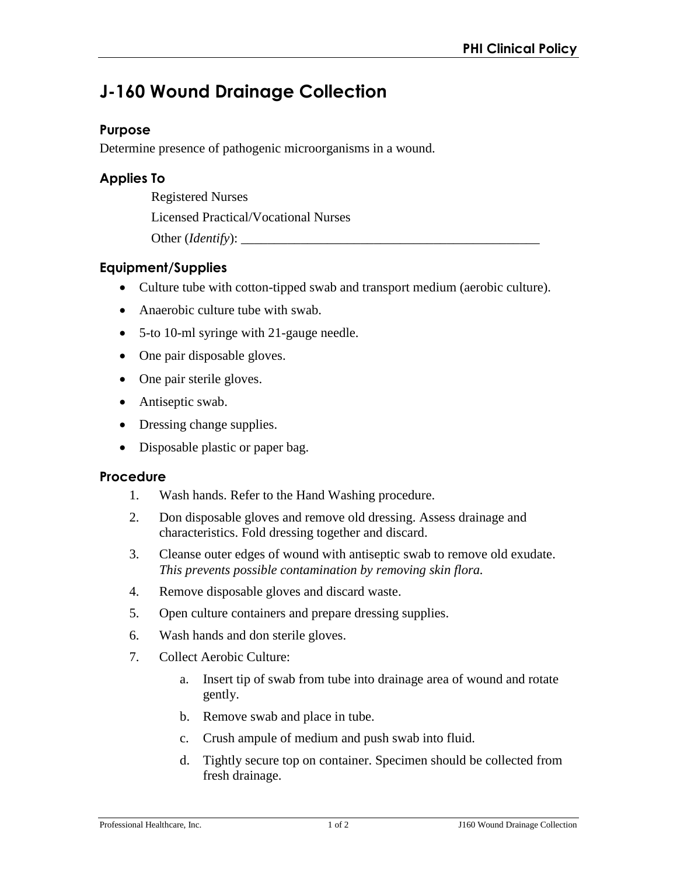# **J-160 Wound Drainage Collection**

### **Purpose**

Determine presence of pathogenic microorganisms in a wound.

# **Applies To**

Registered Nurses

Licensed Practical/Vocational Nurses

Other (*Identify*):

# **Equipment/Supplies**

- Culture tube with cotton-tipped swab and transport medium (aerobic culture).
- Anaerobic culture tube with swab.
- 5-to 10-ml syringe with 21-gauge needle.
- One pair disposable gloves.
- One pair sterile gloves.
- Antiseptic swab.
- Dressing change supplies.
- Disposable plastic or paper bag.

#### **Procedure**

- 1. Wash hands. Refer to the Hand Washing procedure.
- 2. Don disposable gloves and remove old dressing. Assess drainage and characteristics. Fold dressing together and discard.
- 3. Cleanse outer edges of wound with antiseptic swab to remove old exudate. *This prevents possible contamination by removing skin flora.*
- 4. Remove disposable gloves and discard waste.
- 5. Open culture containers and prepare dressing supplies.
- 6. Wash hands and don sterile gloves.
- 7. Collect Aerobic Culture:
	- a. Insert tip of swab from tube into drainage area of wound and rotate gently.
	- b. Remove swab and place in tube.
	- c. Crush ampule of medium and push swab into fluid.
	- d. Tightly secure top on container. Specimen should be collected from fresh drainage.